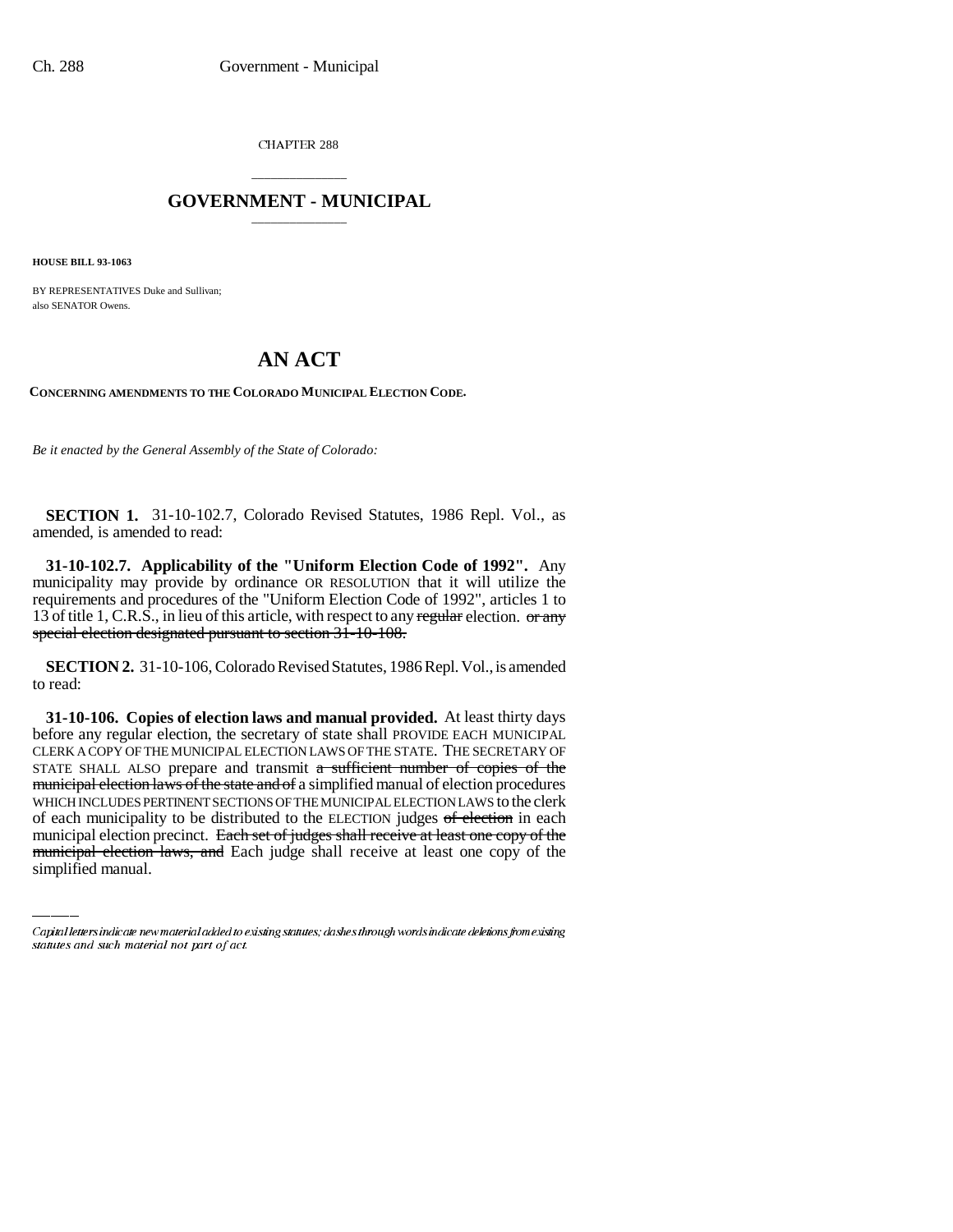CHAPTER 288

## \_\_\_\_\_\_\_\_\_\_\_\_\_\_\_ **GOVERNMENT - MUNICIPAL** \_\_\_\_\_\_\_\_\_\_\_\_\_\_\_

**HOUSE BILL 93-1063**

BY REPRESENTATIVES Duke and Sullivan; also SENATOR Owens.

## **AN ACT**

**CONCERNING AMENDMENTS TO THE COLORADO MUNICIPAL ELECTION CODE.**

*Be it enacted by the General Assembly of the State of Colorado:*

**SECTION 1.** 31-10-102.7, Colorado Revised Statutes, 1986 Repl. Vol., as amended, is amended to read:

**31-10-102.7. Applicability of the "Uniform Election Code of 1992".** Any municipality may provide by ordinance OR RESOLUTION that it will utilize the requirements and procedures of the "Uniform Election Code of 1992", articles 1 to 13 of title 1, C.R.S., in lieu of this article, with respect to any regular election.  $\sigma$  any special election designated pursuant to section 31-10-108.

**SECTION 2.** 31-10-106, Colorado Revised Statutes, 1986 Repl. Vol., is amended to read:

WHICH INCLUDES PERTINENT SECTIONS OF THE MUNICIPAL ELECTION LAWS to the clerk **31-10-106. Copies of election laws and manual provided.** At least thirty days before any regular election, the secretary of state shall PROVIDE EACH MUNICIPAL CLERK A COPY OF THE MUNICIPAL ELECTION LAWS OF THE STATE. THE SECRETARY OF STATE SHALL ALSO prepare and transmit a sufficient number of copies of the municipal election laws of the state and of a simplified manual of election procedures of each municipality to be distributed to the ELECTION judges  $of$  election in each municipal election precinct. Each set of judges shall receive at least one copy of the municipal election laws, and Each judge shall receive at least one copy of the simplified manual.

Capital letters indicate new material added to existing statutes; dashes through words indicate deletions from existing statutes and such material not part of act.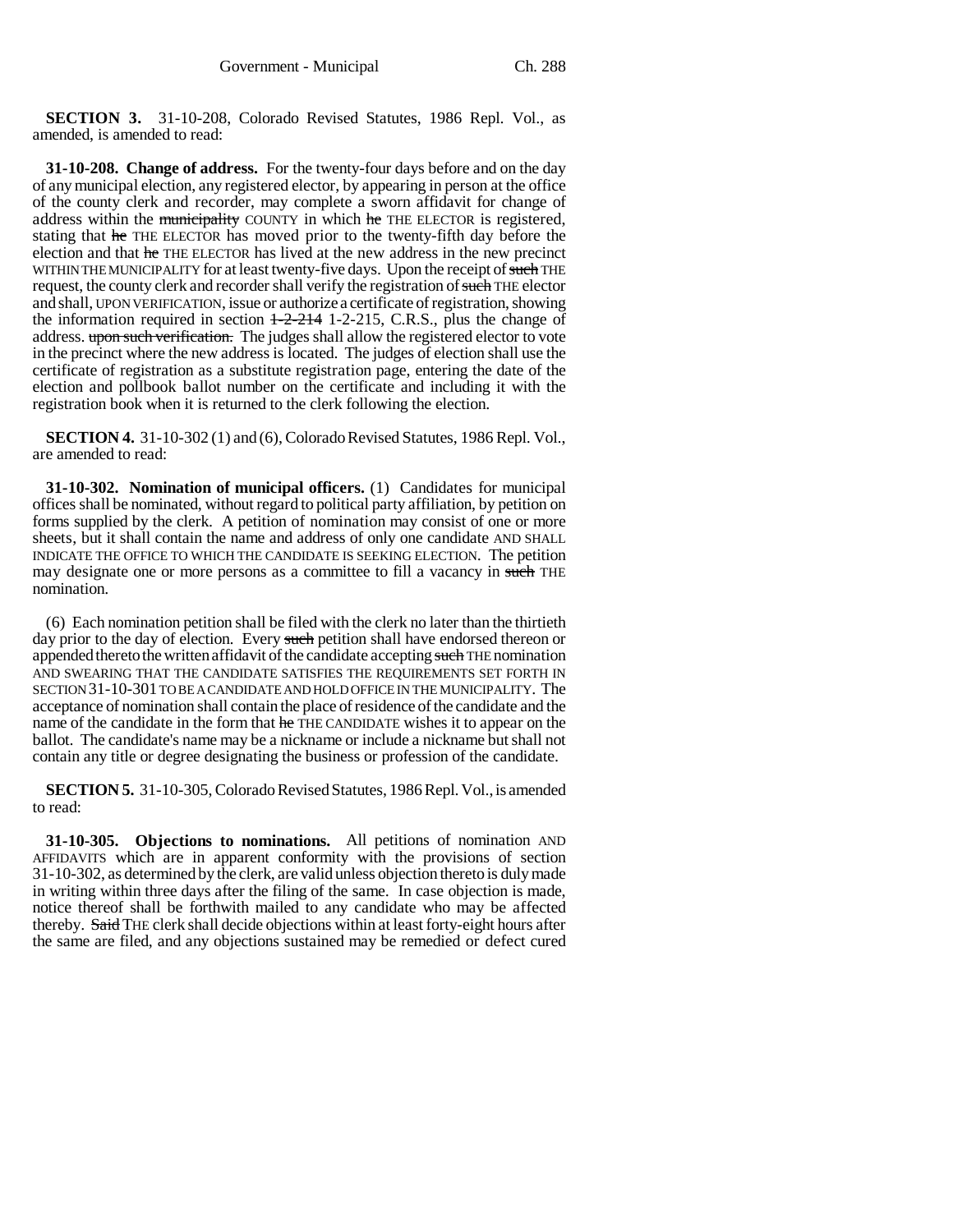**SECTION 3.** 31-10-208, Colorado Revised Statutes, 1986 Repl. Vol., as amended, is amended to read:

**31-10-208. Change of address.** For the twenty-four days before and on the day of any municipal election, any registered elector, by appearing in person at the office of the county clerk and recorder, may complete a sworn affidavit for change of address within the municipality COUNTY in which he THE ELECTOR is registered, stating that he THE ELECTOR has moved prior to the twenty-fifth day before the election and that he THE ELECTOR has lived at the new address in the new precinct WITHIN THE MUNICIPALITY for at least twenty-five days. Upon the receipt of such THE request, the county clerk and recorder shall verify the registration of such THE elector and shall, UPON VERIFICATION, issue or authorize a certificate of registration, showing the information required in section  $1-2-214$  1-2-215, C.R.S., plus the change of address. upon such verification. The judges shall allow the registered elector to vote in the precinct where the new address is located. The judges of election shall use the certificate of registration as a substitute registration page, entering the date of the election and pollbook ballot number on the certificate and including it with the registration book when it is returned to the clerk following the election.

**SECTION 4.** 31-10-302 (1) and (6), Colorado Revised Statutes, 1986 Repl. Vol., are amended to read:

**31-10-302. Nomination of municipal officers.** (1) Candidates for municipal offices shall be nominated, without regard to political party affiliation, by petition on forms supplied by the clerk. A petition of nomination may consist of one or more sheets, but it shall contain the name and address of only one candidate AND SHALL INDICATE THE OFFICE TO WHICH THE CANDIDATE IS SEEKING ELECTION. The petition may designate one or more persons as a committee to fill a vacancy in such THE nomination.

(6) Each nomination petition shall be filed with the clerk no later than the thirtieth day prior to the day of election. Every such petition shall have endorsed thereon or appended thereto the written affidavit of the candidate accepting such THE nomination AND SWEARING THAT THE CANDIDATE SATISFIES THE REQUIREMENTS SET FORTH IN SECTION 31-10-301 TO BE A CANDIDATE AND HOLD OFFICE IN THE MUNICIPALITY. The acceptance of nomination shall contain the place of residence of the candidate and the name of the candidate in the form that he THE CANDIDATE wishes it to appear on the ballot. The candidate's name may be a nickname or include a nickname but shall not contain any title or degree designating the business or profession of the candidate.

**SECTION 5.** 31-10-305, Colorado Revised Statutes, 1986 Repl. Vol., is amended to read:

**31-10-305. Objections to nominations.** All petitions of nomination AND AFFIDAVITS which are in apparent conformity with the provisions of section 31-10-302, as determined by the clerk, are valid unless objection thereto is duly made in writing within three days after the filing of the same. In case objection is made, notice thereof shall be forthwith mailed to any candidate who may be affected thereby. Said THE clerk shall decide objections within at least forty-eight hours after the same are filed, and any objections sustained may be remedied or defect cured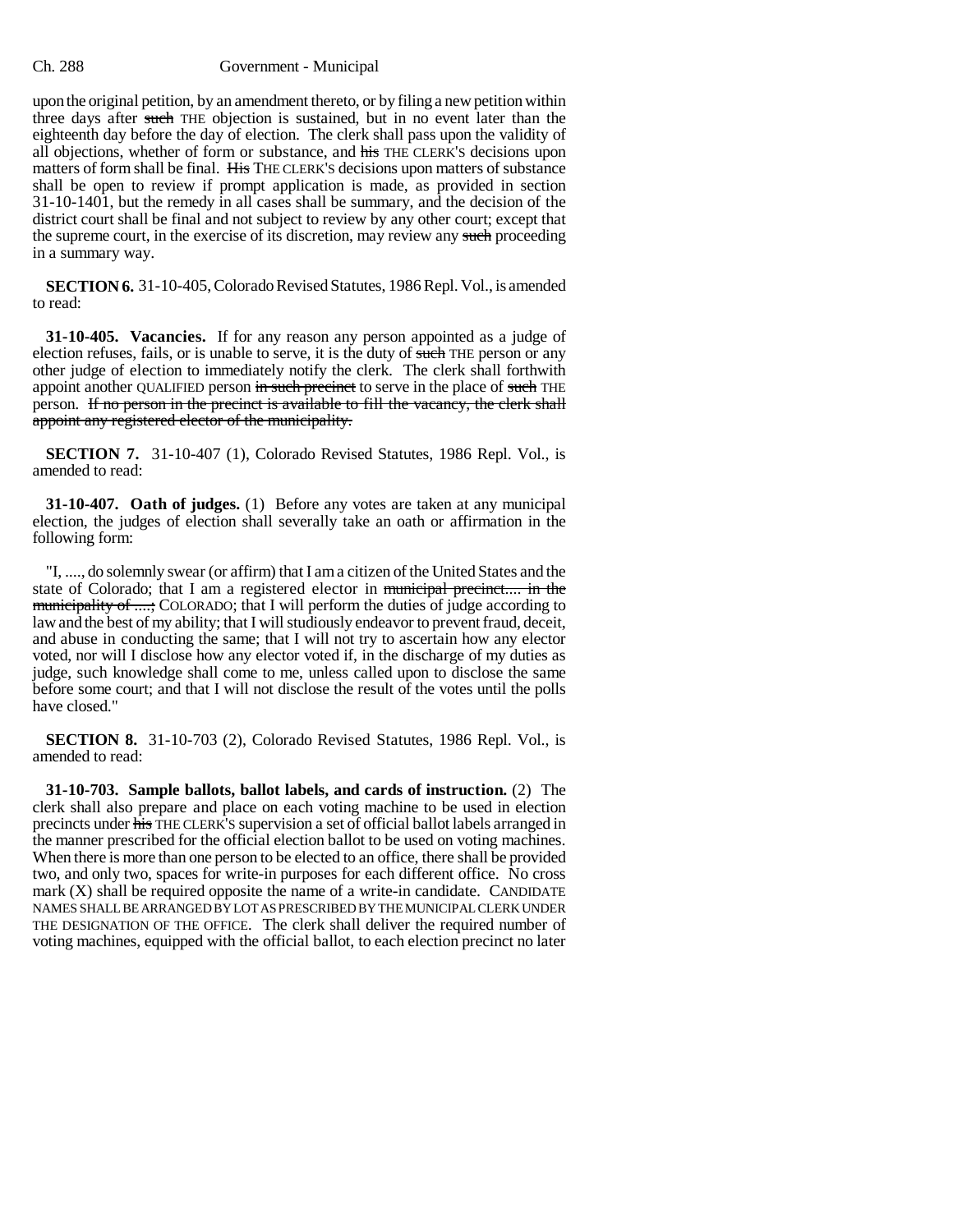## Ch. 288 Government - Municipal

upon the original petition, by an amendment thereto, or by filing a new petition within three days after such THE objection is sustained, but in no event later than the eighteenth day before the day of election. The clerk shall pass upon the validity of all objections, whether of form or substance, and his THE CLERK'S decisions upon matters of form shall be final. His THE CLERK'S decisions upon matters of substance shall be open to review if prompt application is made, as provided in section 31-10-1401, but the remedy in all cases shall be summary, and the decision of the district court shall be final and not subject to review by any other court; except that the supreme court, in the exercise of its discretion, may review any such proceeding in a summary way.

**SECTION 6.** 31-10-405, Colorado Revised Statutes, 1986 Repl. Vol., is amended to read:

**31-10-405. Vacancies.** If for any reason any person appointed as a judge of election refuses, fails, or is unable to serve, it is the duty of such THE person or any other judge of election to immediately notify the clerk. The clerk shall forthwith appoint another QUALIFIED person in such precinct to serve in the place of such THE person. If no person in the precinct is available to fill the vacancy, the clerk shall appoint any registered elector of the municipality.

**SECTION 7.** 31-10-407 (1), Colorado Revised Statutes, 1986 Repl. Vol., is amended to read:

**31-10-407. Oath of judges.** (1) Before any votes are taken at any municipal election, the judges of election shall severally take an oath or affirmation in the following form:

"I, ...., do solemnly swear (or affirm) that I am a citizen of the United States and the state of Colorado; that I am a registered elector in municipal precinct.... in the municipality of ....; COLORADO; that I will perform the duties of judge according to law and the best of my ability; that I will studiously endeavor to prevent fraud, deceit, and abuse in conducting the same; that I will not try to ascertain how any elector voted, nor will I disclose how any elector voted if, in the discharge of my duties as judge, such knowledge shall come to me, unless called upon to disclose the same before some court; and that I will not disclose the result of the votes until the polls have closed."

**SECTION 8.** 31-10-703 (2), Colorado Revised Statutes, 1986 Repl. Vol., is amended to read:

**31-10-703. Sample ballots, ballot labels, and cards of instruction.** (2) The clerk shall also prepare and place on each voting machine to be used in election precincts under his THE CLERK'S supervision a set of official ballot labels arranged in the manner prescribed for the official election ballot to be used on voting machines. When there is more than one person to be elected to an office, there shall be provided two, and only two, spaces for write-in purposes for each different office. No cross mark  $(X)$  shall be required opposite the name of a write-in candidate. CANDIDATE NAMES SHALL BE ARRANGED BY LOT AS PRESCRIBED BY THE MUNICIPAL CLERK UNDER THE DESIGNATION OF THE OFFICE. The clerk shall deliver the required number of voting machines, equipped with the official ballot, to each election precinct no later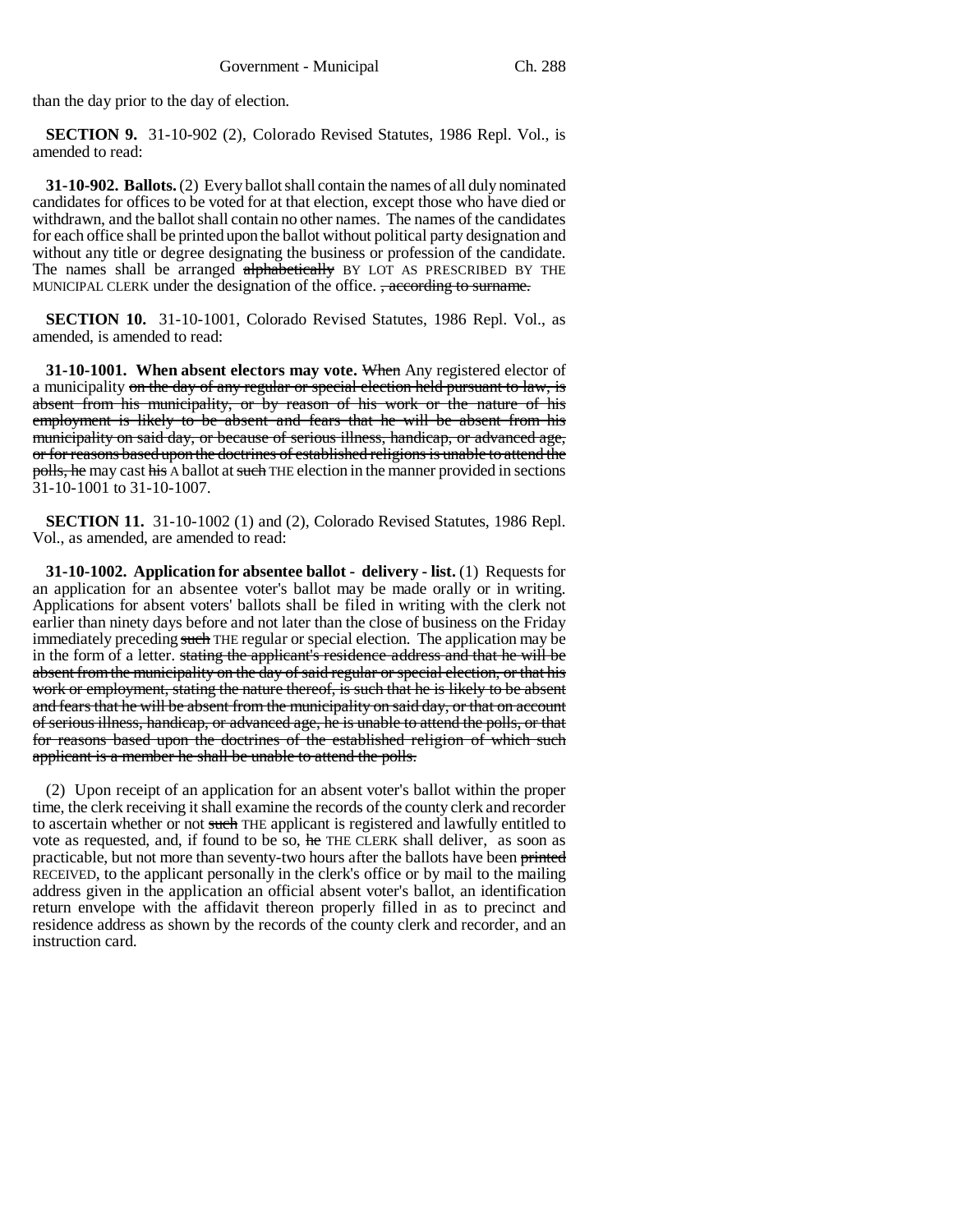than the day prior to the day of election.

**SECTION 9.** 31-10-902 (2), Colorado Revised Statutes, 1986 Repl. Vol., is amended to read:

**31-10-902. Ballots.** (2) Every ballot shall contain the names of all duly nominated candidates for offices to be voted for at that election, except those who have died or withdrawn, and the ballot shall contain no other names. The names of the candidates for each office shall be printed upon the ballot without political party designation and without any title or degree designating the business or profession of the candidate. The names shall be arranged alphabetically BY LOT AS PRESCRIBED BY THE MUNICIPAL CLERK under the designation of the office. <del>, according to surname.</del>

**SECTION 10.** 31-10-1001, Colorado Revised Statutes, 1986 Repl. Vol., as amended, is amended to read:

**31-10-1001. When absent electors may vote.** When Any registered elector of a municipality on the day of any regular or special election held pursuant to law, is absent from his municipality, or by reason of his work or the nature of his employment is likely to be absent and fears that he will be absent from his municipality on said day, or because of serious illness, handicap, or advanced age, or for reasons based upon the doctrines of established religions is unable to attend the polls, he may cast his A ballot at such THE election in the manner provided in sections 31-10-1001 to 31-10-1007.

**SECTION 11.** 31-10-1002 (1) and (2), Colorado Revised Statutes, 1986 Repl. Vol., as amended, are amended to read:

**31-10-1002. Application for absentee ballot - delivery - list.** (1) Requests for an application for an absentee voter's ballot may be made orally or in writing. Applications for absent voters' ballots shall be filed in writing with the clerk not earlier than ninety days before and not later than the close of business on the Friday immediately preceding such THE regular or special election. The application may be in the form of a letter. stating the applicant's residence address and that he will be absent from the municipality on the day of said regular or special election, or that his work or employment, stating the nature thereof, is such that he is likely to be absent and fears that he will be absent from the municipality on said day, or that on account of serious illness, handicap, or advanced age, he is unable to attend the polls, or that for reasons based upon the doctrines of the established religion of which such applicant is a member he shall be unable to attend the polls.

(2) Upon receipt of an application for an absent voter's ballot within the proper time, the clerk receiving it shall examine the records of the county clerk and recorder to ascertain whether or not such THE applicant is registered and lawfully entitled to vote as requested, and, if found to be so, he THE CLERK shall deliver, as soon as practicable, but not more than seventy-two hours after the ballots have been printed RECEIVED, to the applicant personally in the clerk's office or by mail to the mailing address given in the application an official absent voter's ballot, an identification return envelope with the affidavit thereon properly filled in as to precinct and residence address as shown by the records of the county clerk and recorder, and an instruction card.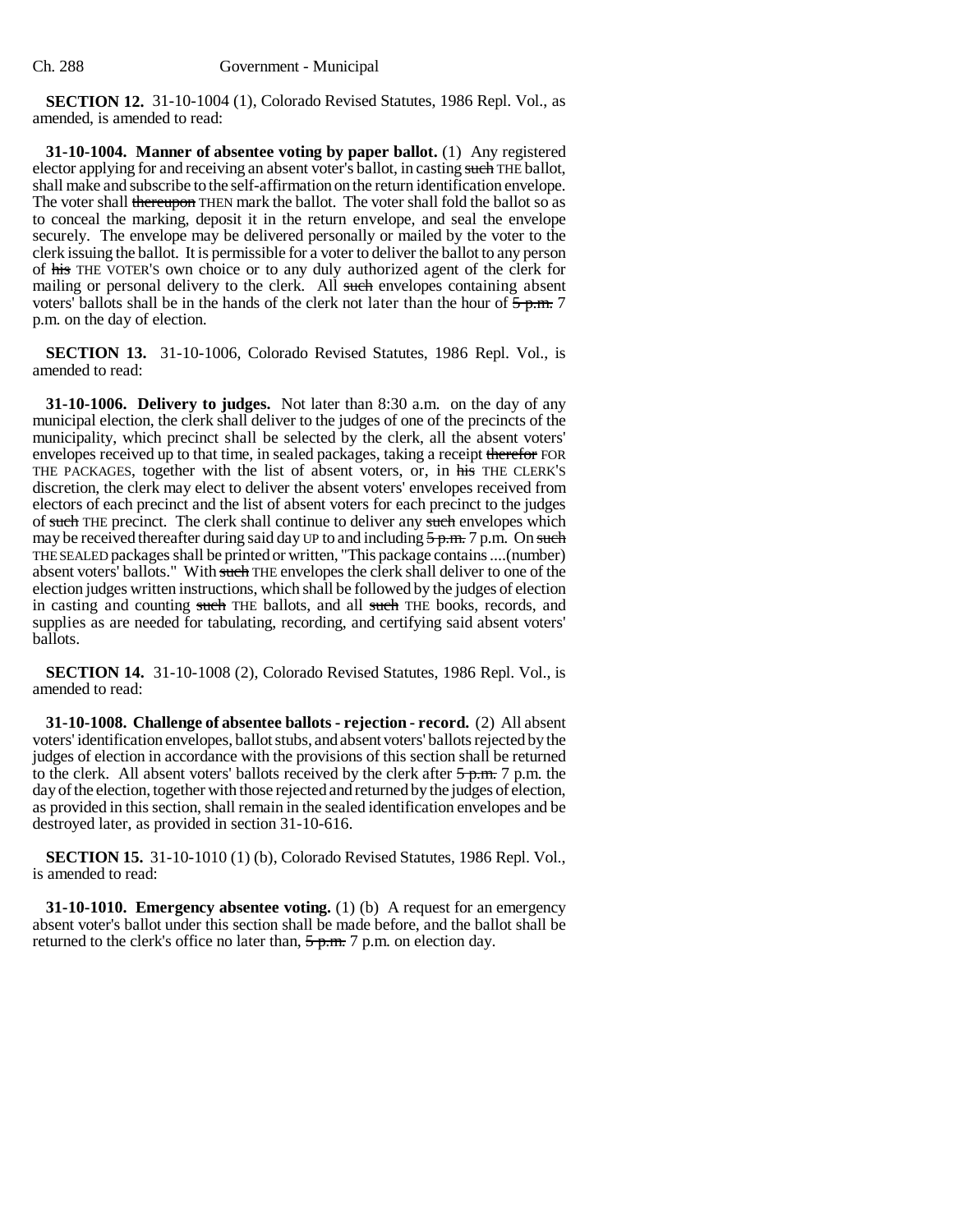**SECTION 12.** 31-10-1004 (1), Colorado Revised Statutes, 1986 Repl. Vol., as amended, is amended to read:

**31-10-1004. Manner of absentee voting by paper ballot.** (1) Any registered elector applying for and receiving an absent voter's ballot, in casting such THE ballot, shall make and subscribe to the self-affirmation on the return identification envelope. The voter shall thereupon THEN mark the ballot. The voter shall fold the ballot so as to conceal the marking, deposit it in the return envelope, and seal the envelope securely. The envelope may be delivered personally or mailed by the voter to the clerk issuing the ballot. It is permissible for a voter to deliver the ballot to any person of his THE VOTER'S own choice or to any duly authorized agent of the clerk for mailing or personal delivery to the clerk. All such envelopes containing absent voters' ballots shall be in the hands of the clerk not later than the hour of  $\frac{5}{5}$  p.m. 7 p.m. on the day of election.

**SECTION 13.** 31-10-1006, Colorado Revised Statutes, 1986 Repl. Vol., is amended to read:

**31-10-1006. Delivery to judges.** Not later than 8:30 a.m. on the day of any municipal election, the clerk shall deliver to the judges of one of the precincts of the municipality, which precinct shall be selected by the clerk, all the absent voters' envelopes received up to that time, in sealed packages, taking a receipt therefor FOR THE PACKAGES, together with the list of absent voters, or, in his THE CLERK'S discretion, the clerk may elect to deliver the absent voters' envelopes received from electors of each precinct and the list of absent voters for each precinct to the judges of such THE precinct. The clerk shall continue to deliver any such envelopes which may be received thereafter during said day UP to and including  $5 p.m. 7 p.m.$  On such THE SEALED packages shall be printed or written, "This package contains ....(number) absent voters' ballots." With such THE envelopes the clerk shall deliver to one of the election judges written instructions, which shall be followed by the judges of election in casting and counting such THE ballots, and all such THE books, records, and supplies as are needed for tabulating, recording, and certifying said absent voters' ballots.

**SECTION 14.** 31-10-1008 (2), Colorado Revised Statutes, 1986 Repl. Vol., is amended to read:

**31-10-1008. Challenge of absentee ballots - rejection - record.** (2) All absent voters' identification envelopes, ballot stubs, and absent voters' ballots rejected by the judges of election in accordance with the provisions of this section shall be returned to the clerk. All absent voters' ballots received by the clerk after  $\frac{5 \text{ p.m.}}{2 \text{ p.m.}}$  p.m. the day of the election, together with those rejected and returned by the judges of election, as provided in this section, shall remain in the sealed identification envelopes and be destroyed later, as provided in section 31-10-616.

**SECTION 15.** 31-10-1010 (1) (b), Colorado Revised Statutes, 1986 Repl. Vol., is amended to read:

**31-10-1010. Emergency absentee voting.** (1) (b) A request for an emergency absent voter's ballot under this section shall be made before, and the ballot shall be returned to the clerk's office no later than,  $5 p.m. 7 p.m.$  on election day.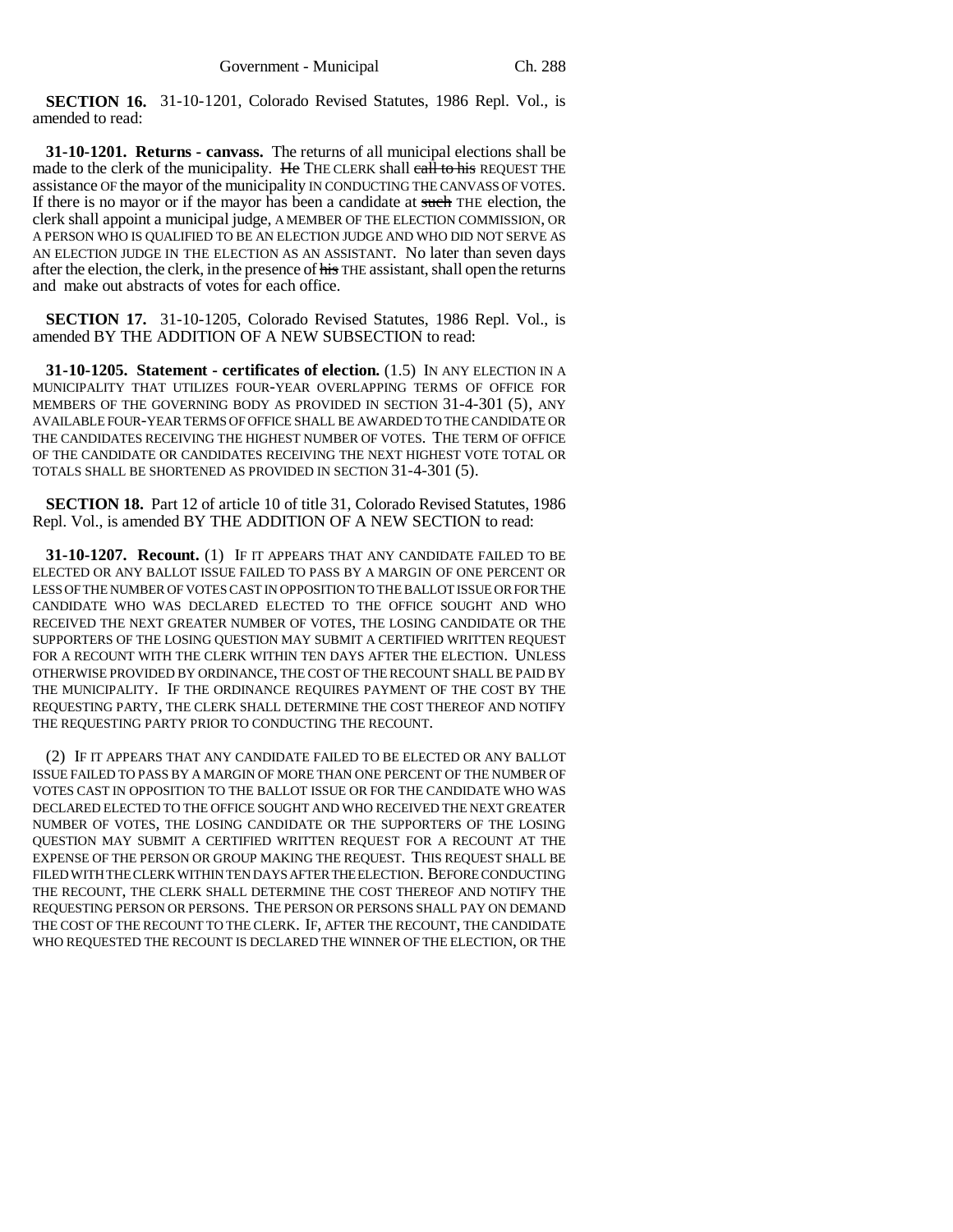**SECTION 16.** 31-10-1201, Colorado Revised Statutes, 1986 Repl. Vol., is amended to read:

**31-10-1201. Returns - canvass.** The returns of all municipal elections shall be made to the clerk of the municipality. He THE CLERK shall call to his REQUEST THE assistance OF the mayor of the municipality IN CONDUCTING THE CANVASS OF VOTES. If there is no mayor or if the mayor has been a candidate at such THE election, the clerk shall appoint a municipal judge, A MEMBER OF THE ELECTION COMMISSION, OR A PERSON WHO IS QUALIFIED TO BE AN ELECTION JUDGE AND WHO DID NOT SERVE AS AN ELECTION JUDGE IN THE ELECTION AS AN ASSISTANT. No later than seven days after the election, the clerk, in the presence of his THE assistant, shall open the returns and make out abstracts of votes for each office.

**SECTION 17.** 31-10-1205, Colorado Revised Statutes, 1986 Repl. Vol., is amended BY THE ADDITION OF A NEW SUBSECTION to read:

**31-10-1205. Statement - certificates of election.** (1.5) IN ANY ELECTION IN A MUNICIPALITY THAT UTILIZES FOUR-YEAR OVERLAPPING TERMS OF OFFICE FOR MEMBERS OF THE GOVERNING BODY AS PROVIDED IN SECTION 31-4-301 (5), ANY AVAILABLE FOUR-YEAR TERMS OF OFFICE SHALL BE AWARDED TO THE CANDIDATE OR THE CANDIDATES RECEIVING THE HIGHEST NUMBER OF VOTES. THE TERM OF OFFICE OF THE CANDIDATE OR CANDIDATES RECEIVING THE NEXT HIGHEST VOTE TOTAL OR TOTALS SHALL BE SHORTENED AS PROVIDED IN SECTION 31-4-301 (5).

**SECTION 18.** Part 12 of article 10 of title 31, Colorado Revised Statutes, 1986 Repl. Vol., is amended BY THE ADDITION OF A NEW SECTION to read:

**31-10-1207. Recount.** (1) IF IT APPEARS THAT ANY CANDIDATE FAILED TO BE ELECTED OR ANY BALLOT ISSUE FAILED TO PASS BY A MARGIN OF ONE PERCENT OR LESS OF THE NUMBER OF VOTES CAST IN OPPOSITION TO THE BALLOT ISSUE OR FOR THE CANDIDATE WHO WAS DECLARED ELECTED TO THE OFFICE SOUGHT AND WHO RECEIVED THE NEXT GREATER NUMBER OF VOTES, THE LOSING CANDIDATE OR THE SUPPORTERS OF THE LOSING QUESTION MAY SUBMIT A CERTIFIED WRITTEN REQUEST FOR A RECOUNT WITH THE CLERK WITHIN TEN DAYS AFTER THE ELECTION. UNLESS OTHERWISE PROVIDED BY ORDINANCE, THE COST OF THE RECOUNT SHALL BE PAID BY THE MUNICIPALITY. IF THE ORDINANCE REQUIRES PAYMENT OF THE COST BY THE REQUESTING PARTY, THE CLERK SHALL DETERMINE THE COST THEREOF AND NOTIFY THE REQUESTING PARTY PRIOR TO CONDUCTING THE RECOUNT.

(2) IF IT APPEARS THAT ANY CANDIDATE FAILED TO BE ELECTED OR ANY BALLOT ISSUE FAILED TO PASS BY A MARGIN OF MORE THAN ONE PERCENT OF THE NUMBER OF VOTES CAST IN OPPOSITION TO THE BALLOT ISSUE OR FOR THE CANDIDATE WHO WAS DECLARED ELECTED TO THE OFFICE SOUGHT AND WHO RECEIVED THE NEXT GREATER NUMBER OF VOTES, THE LOSING CANDIDATE OR THE SUPPORTERS OF THE LOSING QUESTION MAY SUBMIT A CERTIFIED WRITTEN REQUEST FOR A RECOUNT AT THE EXPENSE OF THE PERSON OR GROUP MAKING THE REQUEST. THIS REQUEST SHALL BE FILED WITH THE CLERK WITHIN TEN DAYS AFTER THE ELECTION. BEFORE CONDUCTING THE RECOUNT, THE CLERK SHALL DETERMINE THE COST THEREOF AND NOTIFY THE REQUESTING PERSON OR PERSONS. THE PERSON OR PERSONS SHALL PAY ON DEMAND THE COST OF THE RECOUNT TO THE CLERK. IF, AFTER THE RECOUNT, THE CANDIDATE WHO REQUESTED THE RECOUNT IS DECLARED THE WINNER OF THE ELECTION, OR THE